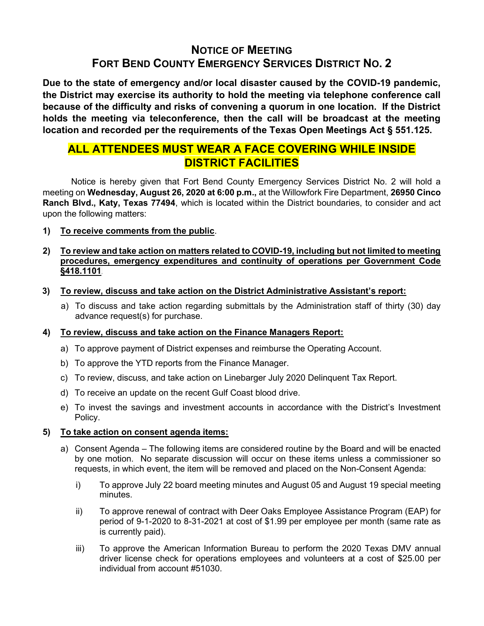# NOTICE OF MEETING FORT BEND COUNTY EMERGENCY SERVICES DISTRICT NO. 2

Due to the state of emergency and/or local disaster caused by the COVID-19 pandemic, the District may exercise its authority to hold the meeting via telephone conference call because of the difficulty and risks of convening a quorum in one location. If the District holds the meeting via teleconference, then the call will be broadcast at the meeting location and recorded per the requirements of the Texas Open Meetings Act § 551.125.

# ALL ATTENDEES MUST WEAR A FACE COVERING WHILE INSIDE DISTRICT FACILITIES

 Notice is hereby given that Fort Bend County Emergency Services District No. 2 will hold a meeting on Wednesday, August 26, 2020 at 6:00 p.m., at the Willowfork Fire Department, 26950 Cinco Ranch Blvd., Katy, Texas 77494, which is located within the District boundaries, to consider and act upon the following matters:

1) To receive comments from the public.

## 2) To review and take action on matters related to COVID-19, including but not limited to meeting procedures, emergency expenditures and continuity of operations per Government Code §418.1101.

- 3) To review, discuss and take action on the District Administrative Assistant's report:
	- a) To discuss and take action regarding submittals by the Administration staff of thirty (30) day advance request(s) for purchase.

## 4) To review, discuss and take action on the Finance Managers Report:

- a) To approve payment of District expenses and reimburse the Operating Account.
- b) To approve the YTD reports from the Finance Manager.
- c) To review, discuss, and take action on Linebarger July 2020 Delinquent Tax Report.
- d) To receive an update on the recent Gulf Coast blood drive.
- e) To invest the savings and investment accounts in accordance with the District's Investment Policy.

## 5) To take action on consent agenda items:

- a) Consent Agenda The following items are considered routine by the Board and will be enacted by one motion. No separate discussion will occur on these items unless a commissioner so requests, in which event, the item will be removed and placed on the Non-Consent Agenda:
	- i) To approve July 22 board meeting minutes and August 05 and August 19 special meeting minutes.
	- ii) To approve renewal of contract with Deer Oaks Employee Assistance Program (EAP) for period of 9-1-2020 to 8-31-2021 at cost of \$1.99 per employee per month (same rate as is currently paid).
	- iii) To approve the American Information Bureau to perform the 2020 Texas DMV annual driver license check for operations employees and volunteers at a cost of \$25.00 per individual from account #51030.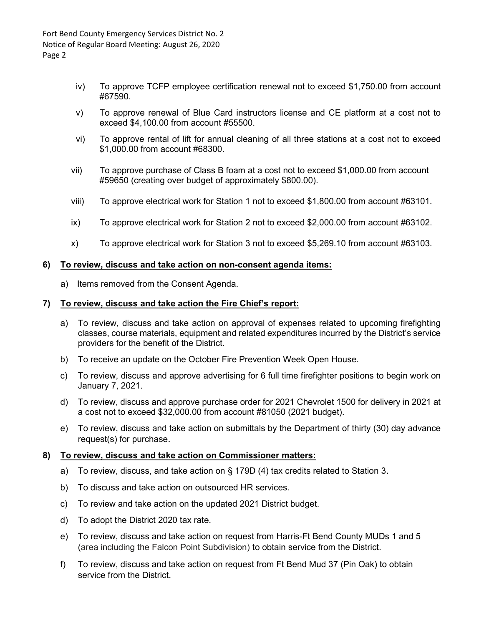- iv) To approve TCFP employee certification renewal not to exceed \$1,750.00 from account #67590.
- v) To approve renewal of Blue Card instructors license and CE platform at a cost not to exceed \$4,100.00 from account #55500.
- vi) To approve rental of lift for annual cleaning of all three stations at a cost not to exceed \$1,000.00 from account #68300.
- vii) To approve purchase of Class B foam at a cost not to exceed \$1,000.00 from account #59650 (creating over budget of approximately \$800.00).
- viii) To approve electrical work for Station 1 not to exceed \$1,800.00 from account #63101.
- ix) To approve electrical work for Station 2 not to exceed \$2,000.00 from account #63102.
- x) To approve electrical work for Station 3 not to exceed \$5,269.10 from account #63103.

#### 6) To review, discuss and take action on non-consent agenda items:

a) Items removed from the Consent Agenda.

#### 7) To review, discuss and take action the Fire Chief's report:

- a) To review, discuss and take action on approval of expenses related to upcoming firefighting classes, course materials, equipment and related expenditures incurred by the District's service providers for the benefit of the District.
- b) To receive an update on the October Fire Prevention Week Open House.
- c) To review, discuss and approve advertising for 6 full time firefighter positions to begin work on January 7, 2021.
- d) To review, discuss and approve purchase order for 2021 Chevrolet 1500 for delivery in 2021 at a cost not to exceed \$32,000.00 from account #81050 (2021 budget).
- e) To review, discuss and take action on submittals by the Department of thirty (30) day advance request(s) for purchase.

#### 8) To review, discuss and take action on Commissioner matters:

- a) To review, discuss, and take action on § 179D (4) tax credits related to Station 3.
- b) To discuss and take action on outsourced HR services.
- c) To review and take action on the updated 2021 District budget.
- d) To adopt the District 2020 tax rate.
- e) To review, discuss and take action on request from Harris-Ft Bend County MUDs 1 and 5 (area including the Falcon Point Subdivision) to obtain service from the District.
- f) To review, discuss and take action on request from Ft Bend Mud 37 (Pin Oak) to obtain service from the District.